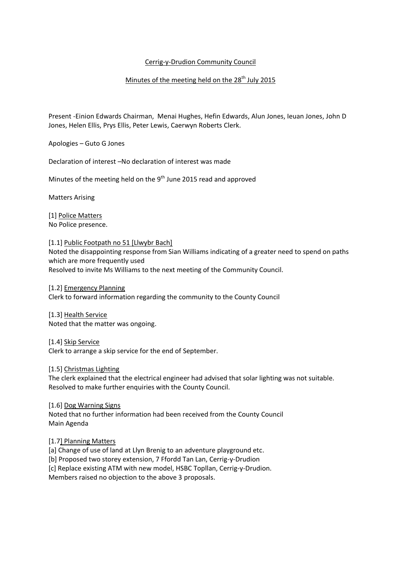# Cerrig-y-Drudion Community Council

# Minutes of the meeting held on the  $28<sup>th</sup>$  July 2015

Present -Einion Edwards Chairman, Menai Hughes, Hefin Edwards, Alun Jones, Ieuan Jones, John D Jones, Helen Ellis, Prys Ellis, Peter Lewis, Caerwyn Roberts Clerk.

Apologies – Guto G Jones

Declaration of interest –No declaration of interest was made

Minutes of the meeting held on the 9<sup>th</sup> June 2015 read and approved

Matters Arising

[1] Police Matters No Police presence.

### [1.1] Public Footpath no 51 [Llwybr Bach]

Noted the disappointing response from Sian Williams indicating of a greater need to spend on paths which are more frequently used Resolved to invite Ms Williams to the next meeting of the Community Council.

[1.2] Emergency Planning Clerk to forward information regarding the community to the County Council

[1.3] Health Service Noted that the matter was ongoing.

[1.4] Skip Service

Clerk to arrange a skip service for the end of September.

### [1.5] Christmas Lighting

The clerk explained that the electrical engineer had advised that solar lighting was not suitable. Resolved to make further enquiries with the County Council.

### [1.6] Dog Warning Signs

Noted that no further information had been received from the County Council Main Agenda

### [1.7] Planning Matters

[a] Change of use of land at Llyn Brenig to an adventure playground etc.

[b] Proposed two storey extension, 7 Ffordd Tan Lan, Cerrig-y-Drudion

[c] Replace existing ATM with new model, HSBC Topllan, Cerrig-y-Drudion.

Members raised no objection to the above 3 proposals.